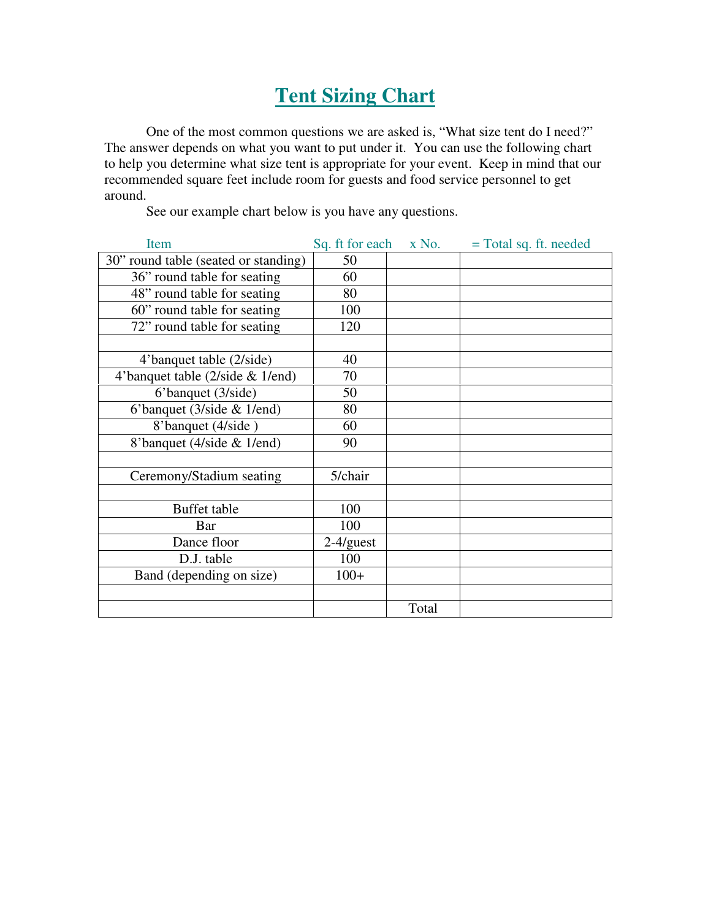## **Tent Sizing Chart**

One of the most common questions we are asked is, "What size tent do I need?" The answer depends on what you want to put under it. You can use the following chart to help you determine what size tent is appropriate for your event. Keep in mind that our recommended square feet include room for guests and food service personnel to get around.

See our example chart below is you have any questions.

| Item                                 | Sq. ft for each | $X$ No. | $=$ Total sq. ft. needed |
|--------------------------------------|-----------------|---------|--------------------------|
| 30" round table (seated or standing) | 50              |         |                          |
| 36" round table for seating          | 60              |         |                          |
| 48" round table for seating          | 80              |         |                          |
| 60" round table for seating          | 100             |         |                          |
| 72" round table for seating          | 120             |         |                          |
|                                      |                 |         |                          |
| 4'banquet table (2/side)             | 40              |         |                          |
| 4'banquet table (2/side & 1/end)     | 70              |         |                          |
| 6'banquet (3/side)                   | 50              |         |                          |
| 6'banquet (3/side & 1/end)           | 80              |         |                          |
| 8'banquet (4/side)                   | 60              |         |                          |
| 8'banquet (4/side & 1/end)           | 90              |         |                          |
|                                      |                 |         |                          |
| Ceremony/Stadium seating             | 5/chair         |         |                          |
|                                      |                 |         |                          |
| Buffet table                         | 100             |         |                          |
| Bar                                  | 100             |         |                          |
| Dance floor                          | $2-4/guest$     |         |                          |
| D.J. table                           | 100             |         |                          |
| Band (depending on size)             | $100+$          |         |                          |
|                                      |                 |         |                          |
|                                      |                 | Total   |                          |